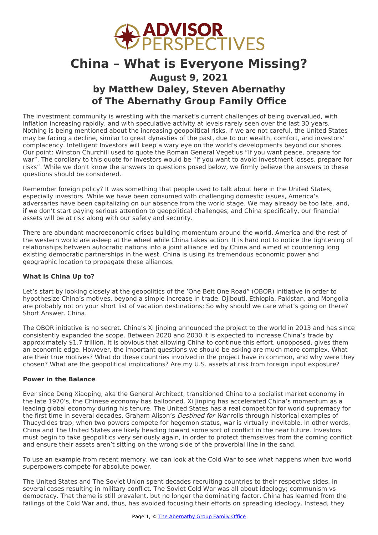

# **China – What is Everyone Missing? August 9, 2021 by Matthew Daley, Steven Abernathy of The Abernathy Group Family Office**

The investment community is wrestling with the market's current challenges of being overvalued, with inflation increasing rapidly, and with speculative activity at levels rarely seen over the last 30 years. Nothing is being mentioned about the increasing geopolitical risks. If we are not careful, the United States may be facing a decline, similar to great dynasties of the past, due to our wealth, comfort, and investors' complacency. Intelligent Investors will keep a wary eye on the world's developments beyond our shores. Our point: Winston Churchill used to quote the Roman General Vegetius "If you want peace, prepare for war". The corollary to this quote for investors would be "If you want to avoid investment losses, prepare for risks". While we don't know the answers to questions posed below, we firmly believe the answers to these questions should be considered.

Remember foreign policy? It was something that people used to talk about here in the United States, especially investors. While we have been consumed with challenging domestic issues, America's adversaries have been capitalizing on our absence from the world stage. We may already be too late, and, if we don't start paying serious attention to geopolitical challenges, and China specifically, our financial assets will be at risk along with our safety and security.

There are abundant macroeconomic crises building momentum around the world. America and the rest of the western world are asleep at the wheel while China takes action. It is hard not to notice the tightening of relationships between autocratic nations into a joint alliance led by China and aimed at countering long existing democratic partnerships in the west. China is using its tremendous economic power and geographic location to propagate these alliances.

### **What is China Up to?**

Let's start by looking closely at the geopolitics of the 'One Belt One Road" (OBOR) initiative in order to hypothesize China's motives, beyond a simple increase in trade. Djibouti, Ethiopia, Pakistan, and Mongolia are probably not on your short list of vacation destinations; So why should we care what's going on there? Short Answer. China.

The OBOR initiative is no secret. China's Xi Jinping announced the project to the world in 2013 and has since consistently expanded the scope. Between 2020 and 2030 it is expected to increase China's trade by approximately \$1.7 trillion. It is obvious that allowing China to continue this effort, unopposed, gives them an economic edge. However, the important questions we should be asking are much more complex. What are their true motives? What do these countries involved in the project have in common, and why were they chosen? What are the geopolitical implications? Are my U.S. assets at risk from foreign input exposure?

### **Power in the Balance**

Ever since Deng Xiaoping, aka the General Architect, transitioned China to a socialist market economy in the late 1970's, the Chinese economy has ballooned. Xi Jinping has accelerated China's momentum as a leading global economy during his tenure. The United States has a real competitor for world supremacy for the first time in several decades. Graham Alison's *Destined for War* rolls through historical examples of Thucydides trap; when two powers compete for hegemon status, war is virtually inevitable. In other words, China and The United States are likely heading toward some sort of conflict in the near future. Investors must begin to take geopolitics very seriously again, in order to protect themselves from the coming conflict and ensure their assets aren't sitting on the wrong side of the proverbial line in the sand.

To use an example from recent memory, we can look at the Cold War to see what happens when two world superpowers compete for absolute power.

The United States and The Soviet Union spent decades recruiting countries to their respective sides, in several cases resulting in military conflict. The Soviet Cold War was all about ideology; communism vs democracy. That theme is still prevalent, but no longer the [dominating](http://www.abernathygroupfamilyoffice.com) factor. China has learned from the failings of the Cold War and, thus, has avoided focusing their efforts on spreading ideology. Instead, they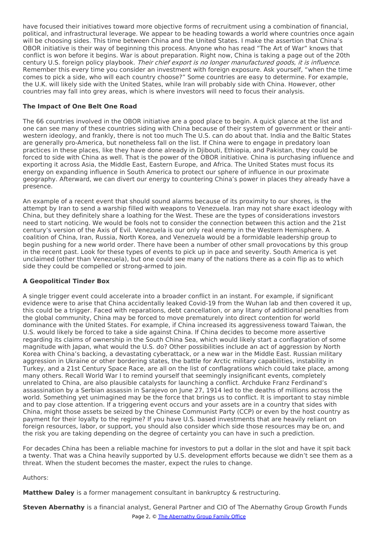have focused their initiatives toward more objective forms of recruitment using a combination of financial, political, and infrastructural leverage. We appear to be heading towards a world where countries once again will be choosing sides. This time between China and the United States. I make the assertion that China's OBOR initiative is their way of beginning this process. Anyone who has read "The Art of War" knows that conflict is won before it begins. War is about preparation. Right now, China is taking a page out of the 20th century U.S. foreign policy playbook. Their chief export is no longer manufactured goods, it is influence. Remember this every time you consider an investment with foreign exposure. Ask yourself, "when the time comes to pick a side, who will each country choose?" Some countries are easy to determine. For example, the U.K. will likely side with the United States, while Iran will probably side with China. However, other countries may fall into grey areas, which is where investors will need to focus their analysis.

## **The Impact of One Belt One Road**

The 66 countries involved in the OBOR initiative are a good place to begin. A quick glance at the list and one can see many of these countries siding with China because of their system of government or their antiwestern ideology, and frankly, there is not too much The U.S. can do about that. India and the Baltic States are generally pro-America, but nonetheless fall on the list. If China were to engage in predatory loan practices in these places, like they have done already in Djibouti, Ethiopia, and Pakistan, they could be forced to side with China as well. That is the power of the OBOR initiative. China is purchasing influence and exporting it across Asia, the Middle East, Eastern Europe, and Africa. The United States must focus its energy on expanding influence in South America to protect our sphere of influence in our proximate geography. Afterward, we can divert our energy to countering China's power in places they already have a presence.

An example of a recent event that should sound alarms because of its proximity to our shores, is the attempt by Iran to send a warship filled with weapons to Venezuela. Iran may not share exact ideology with China, but they definitely share a loathing for the West. These are the types of considerations investors need to start noticing. We would be fools not to consider the connection between this action and the 21st century's version of the Axis of Evil. Venezuela is our only real enemy in the Western Hemisphere. A coalition of China, Iran, Russia, North Korea, and Venezuela would be a formidable leadership group to begin pushing for a new world order. There have been a number of other small provocations by this group in the recent past. Look for these types of events to pick up in pace and severity. South America is yet unclaimed (other than Venezuela), but one could see many of the nations there as a coin flip as to which side they could be compelled or strong-armed to join.

### **A Geopolitical Tinder Box**

A single trigger event could accelerate into a broader conflict in an instant. For example, if significant evidence were to arise that China accidentally leaked Covid-19 from the Wuhan lab and then covered it up, this could be a trigger. Faced with reparations, debt cancellation, or any litany of additional penalties from the global community, China may be forced to move prematurely into direct contention for world dominance with the United States. For example, if China increased its aggressiveness toward Taiwan, the U.S. would likely be forced to take a side against China. If China decides to become more assertive regarding its claims of ownership in the South China Sea, which would likely start a conflagration of some magnitude with Japan, what would the U.S. do? Other possibilities include an act of aggression by North Korea with China's backing, a devastating cyberattack, or a new war in the Middle East. Russian military aggression in Ukraine or other bordering states, the battle for Arctic military capabilities, instability in Turkey, and a 21st Century Space Race, are all on the list of conflagrations which could take place, among many others. Recall World War I to remind yourself that seemingly insignificant events, completely unrelated to China, are also plausible catalysts for launching a conflict. Archduke Franz Ferdinand's assassination by a Serbian assassin in Sarajevo on June 27, 1914 led to the deaths of millions across the world. Something yet unimagined may be the force that brings us to conflict. It is important to stay nimble and to pay close attention. If a triggering event occurs and your assets are in a country that sides with China, might those assets be seized by the Chinese Communist Party (CCP) or even by the host country as payment for their loyalty to the regime? If you have U.S. based investments that are heavily reliant on foreign resources, labor, or support, you should also consider which side those resources may be on, and the risk you are taking depending on the degree of certainty you can have in such a prediction.

For decades China has been a reliable machine for investors to put a dollar in the slot and have it spit back a twenty. That was a China heavily supported by U.S. development efforts because we didn't see them as a threat. When the student becomes the master, expect the rules to change.

Authors:

**Matthew Daley** is a former management consultant in [bankruptcy](http://www.abernathygroupfamilyoffice.com) & restructuring.

**Steven Abernathy** is a financial analyst, General Partner and CIO of The Abernathy Group Growth Funds Page 2, © The Abernathy Group Family Office